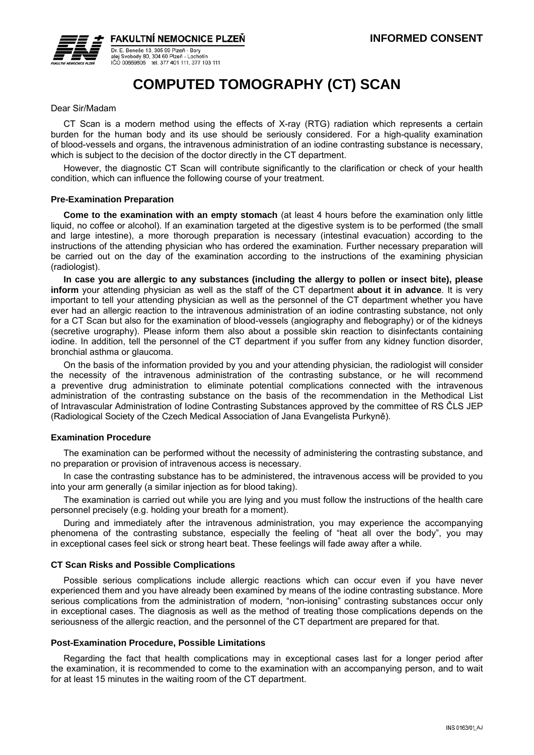

**FAKULTNÍ NEMOCNICE PLZEŇ** Dr. E. Beneše 13, 305 99 Plzeň - Bory

Dr. E. Benese 13, 303 99 Pizeli - Bory<br>alej Svobody 80, 304 60 Pizeň - Lochotín<br>IČO 00669806 tel. 377 401 111. 377 103 111

# **COMPUTED TOMOGRAPHY (CT) SCAN**

### Dear Sir/Madam

CT Scan is a modern method using the effects of X-ray (RTG) radiation which represents a certain burden for the human body and its use should be seriously considered. For a high-quality examination of blood-vessels and organs, the intravenous administration of an iodine contrasting substance is necessary, which is subject to the decision of the doctor directly in the CT department.

However, the diagnostic CT Scan will contribute significantly to the clarification or check of your health condition, which can influence the following course of your treatment.

## **Pre-Examination Preparation**

**Come to the examination with an empty stomach** (at least 4 hours before the examination only little liquid, no coffee or alcohol). If an examination targeted at the digestive system is to be performed (the small and large intestine), a more thorough preparation is necessary (intestinal evacuation) according to the instructions of the attending physician who has ordered the examination. Further necessary preparation will be carried out on the day of the examination according to the instructions of the examining physician (radiologist).

**In case you are allergic to any substances (including the allergy to pollen or insect bite), please inform** your attending physician as well as the staff of the CT department **about it in advance**. It is very important to tell your attending physician as well as the personnel of the CT department whether you have ever had an allergic reaction to the intravenous administration of an iodine contrasting substance, not only for a CT Scan but also for the examination of blood-vessels (angiography and flebography) or of the kidneys (secretive urography). Please inform them also about a possible skin reaction to disinfectants containing iodine. In addition, tell the personnel of the CT department if you suffer from any kidney function disorder, bronchial asthma or glaucoma.

On the basis of the information provided by you and your attending physician, the radiologist will consider the necessity of the intravenous administration of the contrasting substance, or he will recommend a preventive drug administration to eliminate potential complications connected with the intravenous administration of the contrasting substance on the basis of the recommendation in the Methodical List of Intravascular Administration of Iodine Contrasting Substances approved by the committee of RS ČLS JEP (Radiological Society of the Czech Medical Association of Jana Evangelista Purkyně).

#### **Examination Procedure**

The examination can be performed without the necessity of administering the contrasting substance, and no preparation or provision of intravenous access is necessary.

In case the contrasting substance has to be administered, the intravenous access will be provided to you into your arm generally (a similar injection as for blood taking).

The examination is carried out while you are lying and you must follow the instructions of the health care personnel precisely (e.g. holding your breath for a moment).

During and immediately after the intravenous administration, you may experience the accompanying phenomena of the contrasting substance, especially the feeling of "heat all over the body", you may in exceptional cases feel sick or strong heart beat. These feelings will fade away after a while.

#### **CT Scan Risks and Possible Complications**

Possible serious complications include allergic reactions which can occur even if you have never experienced them and you have already been examined by means of the iodine contrasting substance. More serious complications from the administration of modern, "non-ionising" contrasting substances occur only in exceptional cases. The diagnosis as well as the method of treating those complications depends on the seriousness of the allergic reaction, and the personnel of the CT department are prepared for that.

#### **Post-Examination Procedure, Possible Limitations**

Regarding the fact that health complications may in exceptional cases last for a longer period after the examination, it is recommended to come to the examination with an accompanying person, and to wait for at least 15 minutes in the waiting room of the CT department.